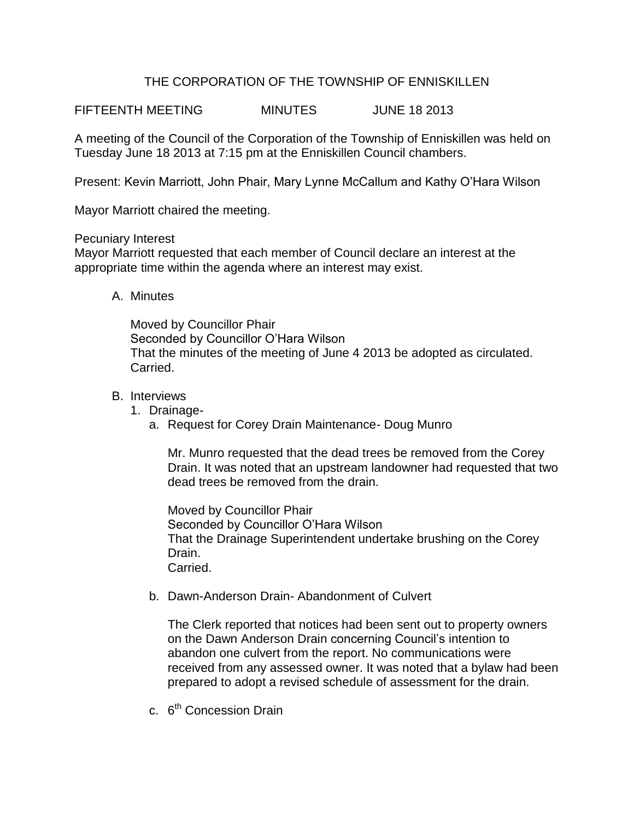# THE CORPORATION OF THE TOWNSHIP OF ENNISKILLEN

FIFTEENTH MEETING MINUTES JUNE 18 2013

A meeting of the Council of the Corporation of the Township of Enniskillen was held on Tuesday June 18 2013 at 7:15 pm at the Enniskillen Council chambers.

Present: Kevin Marriott, John Phair, Mary Lynne McCallum and Kathy O'Hara Wilson

Mayor Marriott chaired the meeting.

#### Pecuniary Interest

Mayor Marriott requested that each member of Council declare an interest at the appropriate time within the agenda where an interest may exist.

A. Minutes

Moved by Councillor Phair Seconded by Councillor O'Hara Wilson That the minutes of the meeting of June 4 2013 be adopted as circulated. Carried.

### B. Interviews

- 1. Drainage
	- a. Request for Corey Drain Maintenance- Doug Munro

Mr. Munro requested that the dead trees be removed from the Corey Drain. It was noted that an upstream landowner had requested that two dead trees be removed from the drain.

Moved by Councillor Phair Seconded by Councillor O'Hara Wilson That the Drainage Superintendent undertake brushing on the Corey Drain. Carried.

b. Dawn-Anderson Drain- Abandonment of Culvert

The Clerk reported that notices had been sent out to property owners on the Dawn Anderson Drain concerning Council's intention to abandon one culvert from the report. No communications were received from any assessed owner. It was noted that a bylaw had been prepared to adopt a revised schedule of assessment for the drain.

c. 6<sup>th</sup> Concession Drain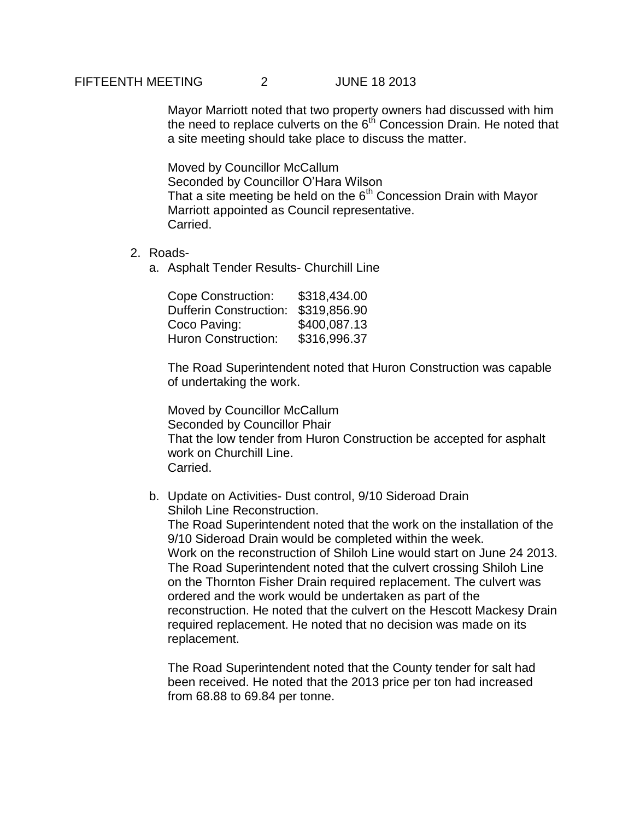### FIFTEENTH MEETING 2 JUNE 18 2013

Mayor Marriott noted that two property owners had discussed with him the need to replace culverts on the  $6<sup>th</sup>$  Concession Drain. He noted that a site meeting should take place to discuss the matter.

Moved by Councillor McCallum Seconded by Councillor O'Hara Wilson That a site meeting be held on the  $6<sup>th</sup>$  Concession Drain with Mayor Marriott appointed as Council representative. Carried.

#### 2. Roads-

a. Asphalt Tender Results- Churchill Line

| <b>Cope Construction:</b>     | \$318,434.00 |
|-------------------------------|--------------|
| <b>Dufferin Construction:</b> | \$319,856.90 |
| Coco Paving:                  | \$400,087.13 |
| <b>Huron Construction:</b>    | \$316,996.37 |

The Road Superintendent noted that Huron Construction was capable of undertaking the work.

Moved by Councillor McCallum Seconded by Councillor Phair That the low tender from Huron Construction be accepted for asphalt work on Churchill Line. Carried.

b. Update on Activities- Dust control, 9/10 Sideroad Drain Shiloh Line Reconstruction. The Road Superintendent noted that the work on the installation of the 9/10 Sideroad Drain would be completed within the week. Work on the reconstruction of Shiloh Line would start on June 24 2013.

The Road Superintendent noted that the culvert crossing Shiloh Line on the Thornton Fisher Drain required replacement. The culvert was ordered and the work would be undertaken as part of the reconstruction. He noted that the culvert on the Hescott Mackesy Drain required replacement. He noted that no decision was made on its replacement.

The Road Superintendent noted that the County tender for salt had been received. He noted that the 2013 price per ton had increased from 68.88 to 69.84 per tonne.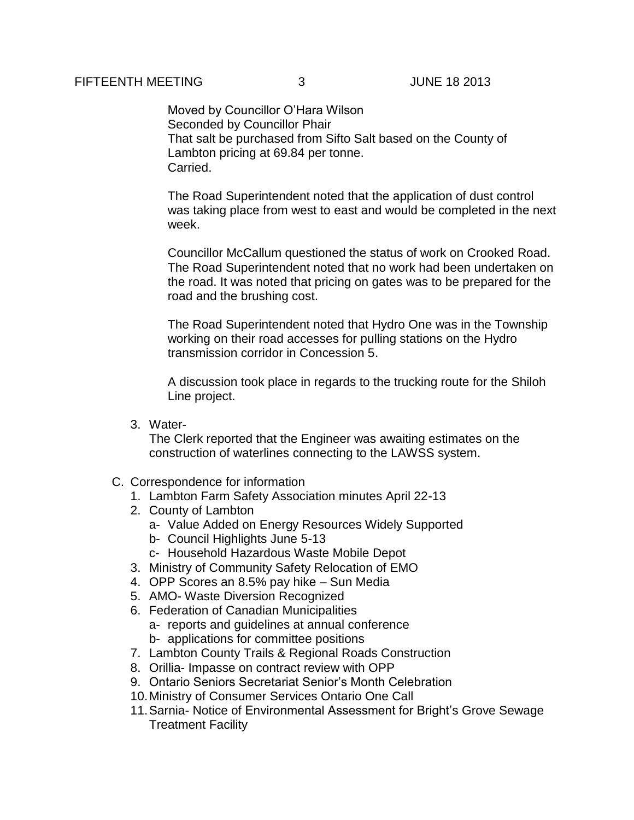Moved by Councillor O'Hara Wilson Seconded by Councillor Phair That salt be purchased from Sifto Salt based on the County of Lambton pricing at 69.84 per tonne. Carried.

The Road Superintendent noted that the application of dust control was taking place from west to east and would be completed in the next week.

Councillor McCallum questioned the status of work on Crooked Road. The Road Superintendent noted that no work had been undertaken on the road. It was noted that pricing on gates was to be prepared for the road and the brushing cost.

The Road Superintendent noted that Hydro One was in the Township working on their road accesses for pulling stations on the Hydro transmission corridor in Concession 5.

A discussion took place in regards to the trucking route for the Shiloh Line project.

3. Water-

The Clerk reported that the Engineer was awaiting estimates on the construction of waterlines connecting to the LAWSS system.

- C. Correspondence for information
	- 1. Lambton Farm Safety Association minutes April 22-13
	- 2. County of Lambton
		- a- Value Added on Energy Resources Widely Supported
		- b- Council Highlights June 5-13
		- c- Household Hazardous Waste Mobile Depot
	- 3. Ministry of Community Safety Relocation of EMO
	- 4. OPP Scores an 8.5% pay hike Sun Media
	- 5. AMO- Waste Diversion Recognized
	- 6. Federation of Canadian Municipalities a- reports and guidelines at annual conference b- applications for committee positions
	- 7. Lambton County Trails & Regional Roads Construction
	- 8. Orillia- Impasse on contract review with OPP
	- 9. Ontario Seniors Secretariat Senior's Month Celebration
	- 10.Ministry of Consumer Services Ontario One Call
	- 11.Sarnia- Notice of Environmental Assessment for Bright's Grove Sewage Treatment Facility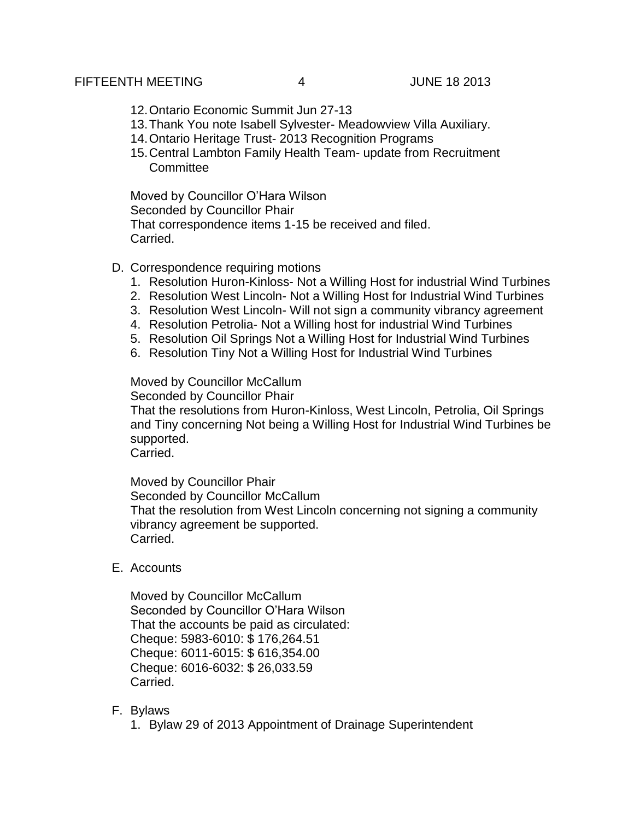#### FIFTEENTH MEETING 4 JUNE 18 2013

- 12.Ontario Economic Summit Jun 27-13
- 13.Thank You note Isabell Sylvester- Meadowview Villa Auxiliary.
- 14.Ontario Heritage Trust- 2013 Recognition Programs
- 15.Central Lambton Family Health Team- update from Recruitment **Committee**

Moved by Councillor O'Hara Wilson Seconded by Councillor Phair That correspondence items 1-15 be received and filed. Carried.

### D. Correspondence requiring motions

- 1. Resolution Huron-Kinloss- Not a Willing Host for industrial Wind Turbines
- 2. Resolution West Lincoln- Not a Willing Host for Industrial Wind Turbines
- 3. Resolution West Lincoln- Will not sign a community vibrancy agreement
- 4. Resolution Petrolia- Not a Willing host for industrial Wind Turbines
- 5. Resolution Oil Springs Not a Willing Host for Industrial Wind Turbines
- 6. Resolution Tiny Not a Willing Host for Industrial Wind Turbines

### Moved by Councillor McCallum

Seconded by Councillor Phair

That the resolutions from Huron-Kinloss, West Lincoln, Petrolia, Oil Springs and Tiny concerning Not being a Willing Host for Industrial Wind Turbines be supported.

Carried.

Moved by Councillor Phair Seconded by Councillor McCallum That the resolution from West Lincoln concerning not signing a community vibrancy agreement be supported. Carried.

E. Accounts

Moved by Councillor McCallum Seconded by Councillor O'Hara Wilson That the accounts be paid as circulated: Cheque: 5983-6010: \$ 176,264.51 Cheque: 6011-6015: \$ 616,354.00 Cheque: 6016-6032: \$ 26,033.59 Carried.

### F. Bylaws

1. Bylaw 29 of 2013 Appointment of Drainage Superintendent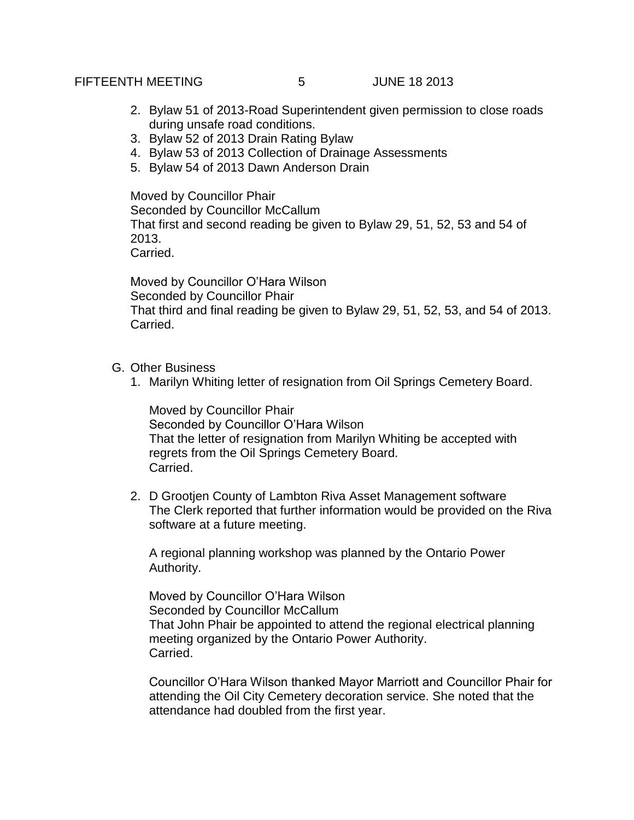# FIFTEENTH MEETING 5 JUNE 18 2013

- 2. Bylaw 51 of 2013-Road Superintendent given permission to close roads during unsafe road conditions.
- 3. Bylaw 52 of 2013 Drain Rating Bylaw
- 4. Bylaw 53 of 2013 Collection of Drainage Assessments
- 5. Bylaw 54 of 2013 Dawn Anderson Drain

Moved by Councillor Phair Seconded by Councillor McCallum That first and second reading be given to Bylaw 29, 51, 52, 53 and 54 of 2013. Carried.

Moved by Councillor O'Hara Wilson Seconded by Councillor Phair That third and final reading be given to Bylaw 29, 51, 52, 53, and 54 of 2013. Carried.

- G. Other Business
	- 1. Marilyn Whiting letter of resignation from Oil Springs Cemetery Board.

Moved by Councillor Phair Seconded by Councillor O'Hara Wilson That the letter of resignation from Marilyn Whiting be accepted with regrets from the Oil Springs Cemetery Board. Carried.

2. D Grootjen County of Lambton Riva Asset Management software The Clerk reported that further information would be provided on the Riva software at a future meeting.

A regional planning workshop was planned by the Ontario Power Authority.

Moved by Councillor O'Hara Wilson Seconded by Councillor McCallum That John Phair be appointed to attend the regional electrical planning meeting organized by the Ontario Power Authority. Carried.

Councillor O'Hara Wilson thanked Mayor Marriott and Councillor Phair for attending the Oil City Cemetery decoration service. She noted that the attendance had doubled from the first year.